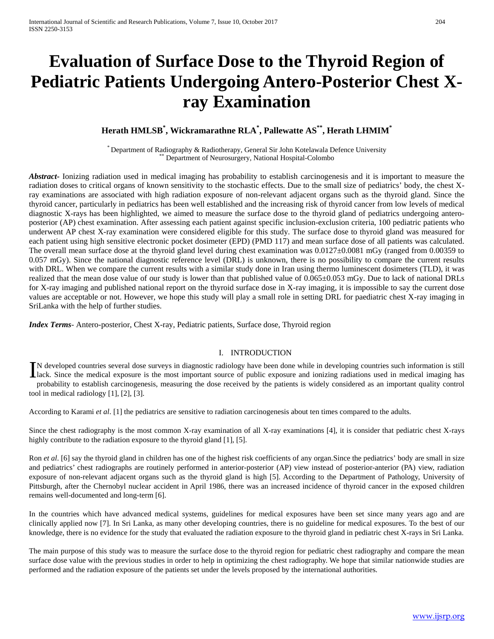# **Evaluation of Surface Dose to the Thyroid Region of Pediatric Patients Undergoing Antero-Posterior Chest Xray Examination**

# **Herath HMLSB\* , Wickramarathne RLA\* , Pallewatte AS\*\*, Herath LHMIM\***

\* Department of Radiography & Radiotherapy, General Sir John Kotelawala Defence University \*\* Department of Neurosurgery, National Hospital-Colombo

*Abstract***-** Ionizing radiation used in medical imaging has probability to establish carcinogenesis and it is important to measure the radiation doses to critical organs of known sensitivity to the stochastic effects. Due to the small size of pediatrics' body, the chest Xray examinations are associated with high radiation exposure of non-relevant adjacent organs such as the thyroid gland. Since the thyroid cancer, particularly in pediatrics has been well established and the increasing risk of thyroid cancer from low levels of medical diagnostic X-rays has been highlighted, we aimed to measure the surface dose to the thyroid gland of pediatrics undergoing anteroposterior (AP) chest examination. After assessing each patient against specific inclusion-exclusion criteria, 100 pediatric patients who underwent AP chest X-ray examination were considered eligible for this study. The surface dose to thyroid gland was measured for each patient using high sensitive electronic pocket dosimeter (EPD) (PMD 117) and mean surface dose of all patients was calculated. The overall mean surface dose at the thyroid gland level during chest examination was  $0.0127\pm0.0081$  mGy (ranged from 0.00359 to 0.057 mGy). Since the national diagnostic reference level (DRL) is unknown, there is no possibility to compare the current results with DRL. When we compare the current results with a similar study done in Iran using thermo luminescent dosimeters (TLD), it was realized that the mean dose value of our study is lower than that published value of 0.065±0.053 mGy. Due to lack of national DRLs for X-ray imaging and published national report on the thyroid surface dose in X-ray imaging, it is impossible to say the current dose values are acceptable or not. However, we hope this study will play a small role in setting DRL for paediatric chest X-ray imaging in SriLanka with the help of further studies.

*Index Terms*- Antero-posterior, Chest X-ray, Pediatric patients, Surface dose, Thyroid region

# I. INTRODUCTION

N developed countries several dose surveys in diagnostic radiology have been done while in developing countries such information is still In developed countries several dose surveys in diagnostic radiology have been done while in developing countries such information is still lack. Since the medical exposure is the most important source of public exposure an probability to establish carcinogenesis, measuring the dose received by the patients is widely considered as an important quality control tool in medical radiology [1], [2], [3].

According to Karami *et al*. [1] the pediatrics are sensitive to radiation carcinogenesis about ten times compared to the adults.

Since the chest radiography is the most common X-ray examination of all X-ray examinations [4], it is consider that pediatric chest X-rays highly contribute to the radiation exposure to the thyroid gland [1], [5].

Ron *et al*. [6] say the thyroid gland in children has one of the highest risk coefficients of any organ.Since the pediatrics' body are small in size and pediatrics' chest radiographs are routinely performed in anterior-posterior (AP) view instead of posterior-anterior (PA) view, radiation exposure of non-relevant adjacent organs such as the thyroid gland is high [5]. According to the Department of Pathology, University of Pittsburgh, after the Chernobyl nuclear accident in April 1986, there was an increased incidence of thyroid cancer in the exposed children remains well-documented and long-term [6].

In the countries which have advanced medical systems, guidelines for medical exposures have been set since many years ago and are clinically applied now [7]. In Sri Lanka, as many other developing countries, there is no guideline for medical exposures. To the best of our knowledge, there is no evidence for the study that evaluated the radiation exposure to the thyroid gland in pediatric chest X-rays in Sri Lanka.

The main purpose of this study was to measure the surface dose to the thyroid region for pediatric chest radiography and compare the mean surface dose value with the previous studies in order to help in optimizing the chest radiography. We hope that similar nationwide studies are performed and the radiation exposure of the patients set under the levels proposed by the international authorities.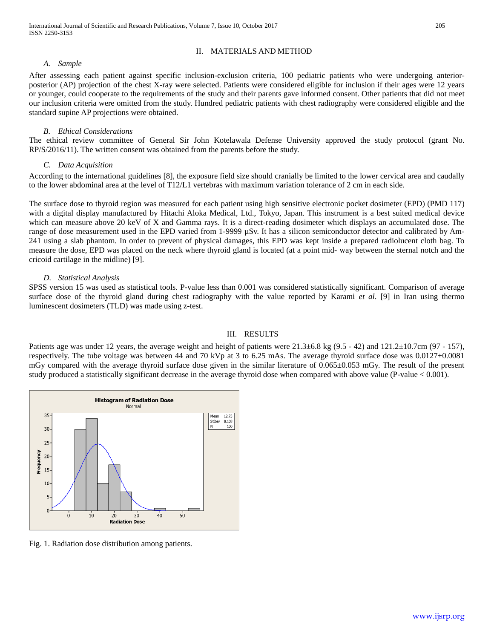# II. MATERIALS AND METHOD

### *A. Sample*

After assessing each patient against specific inclusion-exclusion criteria, 100 pediatric patients who were undergoing anteriorposterior (AP) projection of the chest X-ray were selected. Patients were considered eligible for inclusion if their ages were 12 years or younger, could cooperate to the requirements of the study and their parents gave informed consent. Other patients that did not meet our inclusion criteria were omitted from the study. Hundred pediatric patients with chest radiography were considered eligible and the standard supine AP projections were obtained.

#### *B. Ethical Considerations*

The ethical review committee of General Sir John Kotelawala Defense University approved the study protocol (grant No. RP/S/2016/11). The written consent was obtained from the parents before the study.

#### *C. Data Acquisition*

According to the international guidelines [8], the exposure field size should cranially be limited to the lower cervical area and caudally to the lower abdominal area at the level of T12/L1 vertebras with maximum variation tolerance of 2 cm in each side.

The surface dose to thyroid region was measured for each patient using high sensitive electronic pocket dosimeter (EPD) (PMD 117) with a digital display manufactured by Hitachi Aloka Medical, Ltd., Tokyo, Japan. This instrument is a best suited medical device which can measure above 20 keV of X and Gamma rays. It is a direct-reading dosimeter which displays an accumulated dose. The range of dose measurement used in the EPD varied from 1-9999 µSv. It has a silicon semiconductor detector and calibrated by Am-241 using a slab phantom. In order to prevent of physical damages, this EPD was kept inside a prepared radiolucent cloth bag. To measure the dose, EPD was placed on the neck where thyroid gland is located (at a point mid- way between the sternal notch and the cricoid cartilage in the midline) [9].

# *D. Statistical Analysis*

SPSS version 15 was used as statistical tools. P-value less than 0.001 was considered statistically significant. Comparison of average surface dose of the thyroid gland during chest radiography with the value reported by Karami *et al*. [9] in Iran using thermo luminescent dosimeters (TLD) was made using z-test.

#### III. RESULTS

Patients age was under 12 years, the average weight and height of patients were  $21.3\pm6.8$  kg (9.5 - 42) and  $121.2\pm10.7$ cm (97 - 157), respectively. The tube voltage was between 44 and 70 kVp at 3 to 6.25 mAs. The average thyroid surface dose was 0.0127±0.0081 mGy compared with the average thyroid surface dose given in the similar literature of 0.065±0.053 mGy. The result of the present study produced a statistically significant decrease in the average thyroid dose when compared with above value (P-value < 0.001).



Fig. 1. Radiation dose distribution among patients.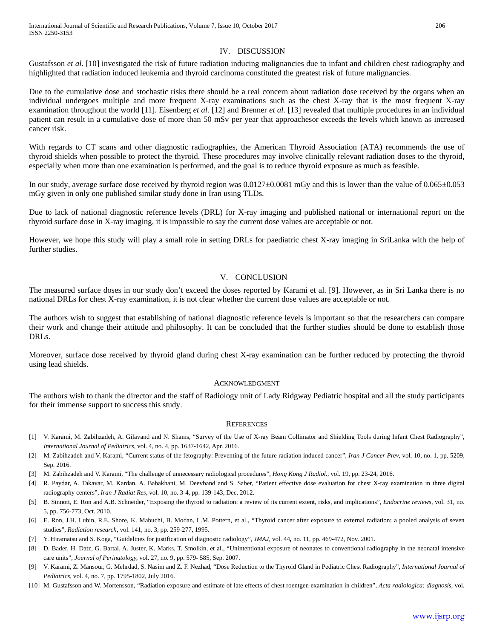# IV. DISCUSSION

Gustafsson *et al.* [10] investigated the risk of future radiation inducing malignancies due to infant and children chest radiography and highlighted that radiation induced leukemia and thyroid carcinoma constituted the greatest risk of future malignancies.

Due to the cumulative dose and stochastic risks there should be a real concern about radiation dose received by the organs when an individual undergoes multiple and more frequent X-ray examinations such as the chest X-ray that is the most frequent X-ray examination throughout the world [11]. Eisenberg *et al.* [12] and Brenner *et al.* [13] revealed that multiple procedures in an individual patient can result in a cumulative dose of more than 50 mSv per year that approachesor exceeds the levels which known as increased cancer risk.

With regards to CT scans and other diagnostic radiographies, the American Thyroid Association (ATA) recommends the use of thyroid shields when possible to protect the thyroid. These procedures may involve clinically relevant radiation doses to the thyroid, especially when more than one examination is performed, and the goal is to reduce thyroid exposure as much as feasible.

In our study, average surface dose received by thyroid region was 0.0127±0.0081 mGy and this is lower than the value of 0.065±0.053 mGy given in only one published similar study done in Iran using TLDs.

Due to lack of national diagnostic reference levels (DRL) for X-ray imaging and published national or international report on the thyroid surface dose in X-ray imaging, it is impossible to say the current dose values are acceptable or not.

However, we hope this study will play a small role in setting DRLs for paediatric chest X-ray imaging in SriLanka with the help of further studies.

# V. CONCLUSION

The measured surface doses in our study don't exceed the doses reported by Karami et al. [9]. However, as in Sri Lanka there is no national DRLs for chest X-ray examination, it is not clear whether the current dose values are acceptable or not.

The authors wish to suggest that establishing of national diagnostic reference levels is important so that the researchers can compare their work and change their attitude and philosophy. It can be concluded that the further studies should be done to establish those DRLs.

Moreover, surface dose received by thyroid gland during chest X-ray examination can be further reduced by protecting the thyroid using lead shields.

#### ACKNOWLEDGMENT

The authors wish to thank the director and the staff of Radiology unit of Lady Ridgway Pediatric hospital and all the study participants for their immense support to success this study.

#### **REFERENCES**

- [1] V. Karami, M. Zabihzadeh, A. Gilavand and N. Shams, "Survey of the Use of X-ray Beam Collimator and Shielding Tools during Infant Chest Radiography", *International Journal of Pediatrics*, vol. 4, no. 4, pp. 1637-1642, Apr. 2016.
- [2] M. Zabihzadeh and V. Karami, "Current status of the fetography: Preventing of the future radiation induced cancer", *Iran J Cancer Prev*, vol. 10, no. 1, pp. 5209, Sep. 2016.
- [3] M. Zabihzadeh and V. Karami, "The challenge of unnecessary radiological procedures", *Hong Kong J Radiol.,* vol. 19, pp. 23-24, 2016.
- [4] R. Paydar, A. Takavar, M. Kardan, A. Babakhani, M. Deevband and S. Saber, "Patient effective dose evaluation for chest X-ray examination in three digital radiography centers", *Iran J Radiat Res*, vol. 10, no. 3-4, pp. 139-143, Dec. 2012.
- [5] B. Sinnott, E. Ron and A.B. Schneider, "Exposing the thyroid to radiation: a review of its current extent, risks, and implications", *Endocrine reviews*, vol. 31, no. 5, pp. 756-773, Oct. 2010.
- [6] E. Ron, J.H. Lubin, R.E. Shore, K. Mabuchi, B. Modan, L.M. Pottern, et al., "Thyroid cancer after exposure to external radiation: a pooled analysis of seven studies", *Radiation research*, vol. 141, no. 3, pp. 259-277, 1995.
- [7] Y. Hiramatsu and S. Koga, "Guidelines for justification of diagnostic radiology", *JMAJ,* vol. 44*,* no. 11, pp. 469-472, Nov. 2001.
- [8] D. Bader, H. Datz, G. Bartal, A. Juster, K. Marks, T. Smolkin, et al., "Unintentional exposure of neonates to conventional radiography in the neonatal intensive care units", *Journal of Perinatology,* vol. 27, no. 9, pp. 579- 585, Sep. 2007.
- [9] V. Karami, Z. Mansour, G. Mehrdad, S. Nasim and Z. F. Nezhad, "Dose Reduction to the Thyroid Gland in Pediatric Chest Radiography", *International Journal of Pediatrics*, vol. 4, no. 7, pp. 1795-1802, July 2016.
- [10] M. Gustafsson and W. Mortensson, "Radiation exposure and estimate of late effects of chest roentgen examination in children", *Acta radiologica: diagnosis*, vol.